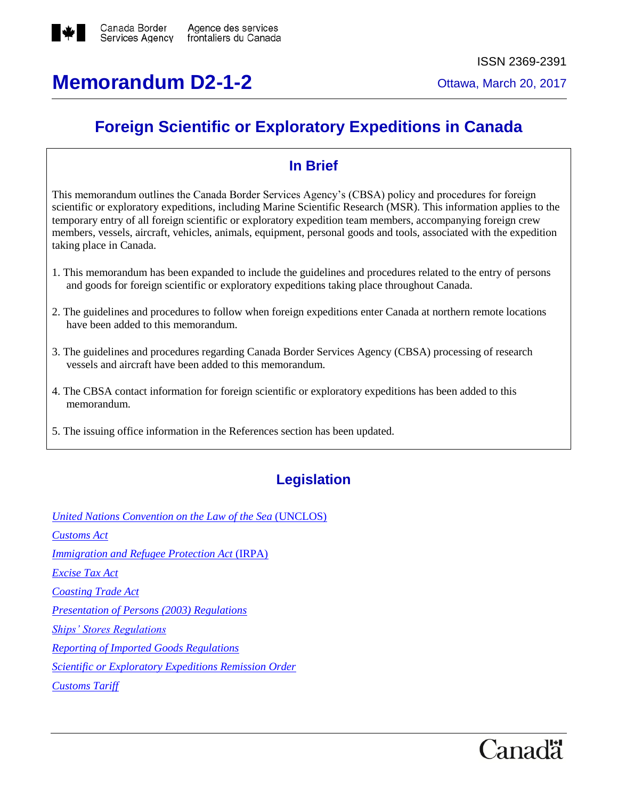

# **Memorandum D2-1-2** Ottawa, March 20, 2017

## **Foreign Scientific or Exploratory Expeditions in Canada**

## **In Brief**

This memorandum outlines the Canada Border Services Agency's (CBSA) policy and procedures for foreign scientific or exploratory expeditions, including Marine Scientific Research (MSR). This information applies to the temporary entry of all foreign scientific or exploratory expedition team members, accompanying foreign crew members, vessels, aircraft, vehicles, animals, equipment, personal goods and tools, associated with the expedition taking place in Canada.

- 1. This memorandum has been expanded to include the guidelines and procedures related to the entry of persons and goods for foreign scientific or exploratory expeditions taking place throughout Canada.
- 2. The guidelines and procedures to follow when foreign expeditions enter Canada at northern remote locations have been added to this memorandum.
- 3. The guidelines and procedures regarding Canada Border Services Agency (CBSA) processing of research vessels and aircraft have been added to this memorandum.
- 4. The CBSA contact information for foreign scientific or exploratory expeditions has been added to this memorandum.
- 5. The issuing office information in the References section has been updated.

## **Legislation**

*[United Nations Convention on the Law of the Sea](http://www.un.org/Depts/los/convention_agreements/convention_overview_convention.htm)* (UNCLOS)

*[Customs Act](http://laws-lois.justice.gc.ca/eng/acts/c-52.6/)*

*[Immigration and Refugee Protection Act](http://laws.justice.gc.ca/eng/acts/i-2.5/)* (IRPA)

*[Excise Tax Act](http://laws-lois.justice.gc.ca/eng/acts/E-15/)*

*[Coasting Trade Act](http://laws-lois.justice.gc.ca/eng/acts/c-33.3/)*

*[Presentation of Persons \(2003\) Regulations](http://laws-lois.justice.gc.ca/eng/regulations/SOR-2003-323/)*

*[Ships' Stores Regulations](http://laws-lois.justice.gc.ca/eng/regulations/sor-96-40/page-2.html)*

*[Reporting of Imported Goods Regulations](http://laws-lois.justice.gc.ca/eng/regulations/SOR-86-873/)*

*[Scientific or Exploratory Expeditions Remission Order](http://laws-lois.justice.gc.ca/eng/regulations/SOR-95-82/FullText.html)*

*[Customs Tariff](http://www.cbsa-asfc.gc.ca/trade-commerce/tariff-tarif/menu-eng.html)*

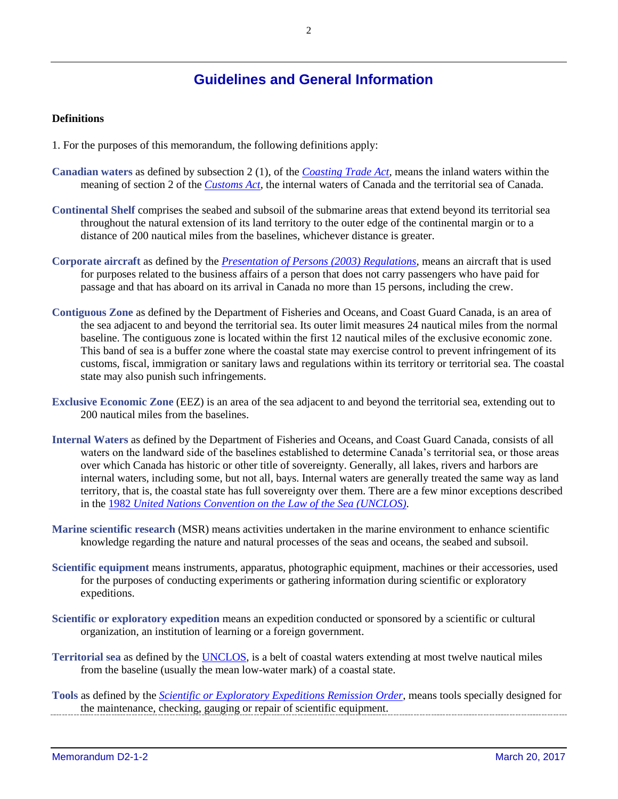## **Guidelines and General Information**

#### **Definitions**

- 1. For the purposes of this memorandum, the following definitions apply:
- **Canadian waters** as defined by subsection 2 (1), of the *[Coasting Trade Act](http://laws-lois.justice.gc.ca/eng/acts/c-33.3/)*, means the inland waters within the meaning of section 2 of the *[Customs Act](http://laws-lois.justice.gc.ca/eng/acts/c-52.6/)*, the internal waters of Canada and the territorial sea of Canada.
- **Continental Shelf** comprises the seabed and subsoil of the submarine areas that extend beyond its territorial sea throughout the natural extension of its land territory to the outer edge of the continental margin or to a distance of 200 nautical miles from the baselines, whichever distance is greater.
- **Corporate aircraft** as defined by the *[Presentation of Persons \(2003\) Regulations](http://laws-lois.justice.gc.ca/eng/regulations/SOR-2003-323/)*, means an aircraft that is used for purposes related to the business affairs of a person that does not carry passengers who have paid for passage and that has aboard on its arrival in Canada no more than 15 persons, including the crew.
- **Contiguous Zone** as defined by the Department of Fisheries and Oceans, and Coast Guard Canada, is an area of the sea adjacent to and beyond the territorial sea. Its outer limit measures 24 nautical miles from the normal baseline. The contiguous zone is located within the first 12 nautical miles of the exclusive economic zone. This band of sea is a buffer zone where the coastal state may exercise control to prevent infringement of its customs, fiscal, immigration or sanitary laws and regulations within its territory or territorial sea. The coastal state may also punish such infringements.
- **Exclusive Economic Zone** (EEZ) is an area of the sea adjacent to and beyond the territorial sea, extending out to 200 nautical miles from the baselines.
- **Internal Waters** as defined by the Department of Fisheries and Oceans, and Coast Guard Canada, consists of all waters on the landward side of the baselines established to determine Canada's territorial sea, or those areas over which Canada has historic or other title of sovereignty. Generally, all lakes, rivers and harbors are internal waters, including some, but not all, bays. Internal waters are generally treated the same way as land territory, that is, the coastal state has full sovereignty over them. There are a few minor exceptions described in the 1982 *[United Nations Convention on the Law of the Sea](http://www.un.org/Depts/los/convention_agreements/convention_overview_convention.htm) (UNCLOS)*.
- **Marine scientific research** (MSR) means activities undertaken in the marine environment to enhance scientific knowledge regarding the nature and natural processes of the seas and oceans, the seabed and subsoil.
- **Scientific equipment** means instruments, apparatus, photographic equipment, machines or their accessories, used for the purposes of conducting experiments or gathering information during scientific or exploratory expeditions.
- **Scientific or exploratory expedition** means an expedition conducted or sponsored by a scientific or cultural organization, an institution of learning or a foreign government.
- **Territorial sea** as defined by the [UNCLOS,](http://www.un.org/Depts/los/convention_agreements/convention_overview_convention.htm) is a belt of coastal waters extending at most twelve nautical miles from the baseline (usually the mean low-water mark) of a coastal state.
- **Tools** as defined by the *[Scientific or Exploratory Expeditions Remission Order](http://laws-lois.justice.gc.ca/eng/regulations/SOR-95-82/FullText.html)*, means tools specially designed for the maintenance, checking, gauging or repair of scientific equipment.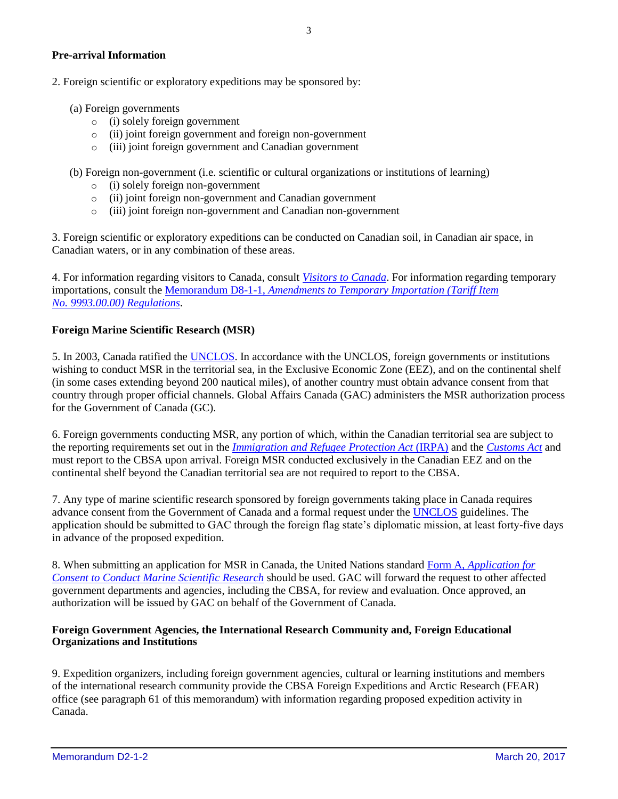#### **Pre-arrival Information**

- 2. Foreign scientific or exploratory expeditions may be sponsored by:
	- (a) Foreign governments
		- o (i) solely foreign government
		- o (ii) joint foreign government and foreign non-government
		- o (iii) joint foreign government and Canadian government
	- (b) Foreign non-government (i.e. scientific or cultural organizations or institutions of learning)
		- o (i) solely foreign non-government
		- o (ii) joint foreign non-government and Canadian government
		- o (iii) joint foreign non-government and Canadian non-government

3. Foreign scientific or exploratory expeditions can be conducted on Canadian soil, in Canadian air space, in Canadian waters, or in any combination of these areas.

4. For information regarding visitors to Canada, consult *[Visitors to Canada](http://www.cbsa-asfc.gc.ca/travel-voyage/ivc-rnc-eng.html)*. For information regarding temporary importations, consult the Memorandum D8-1-1, *[Amendments to Temporary Importation \(Tariff Item](http://www.cbsa-asfc.gc.ca/publications/dm-md/d8/d8-1-1-eng.html)  No. [9993.00.00\) Regulations](http://www.cbsa-asfc.gc.ca/publications/dm-md/d8/d8-1-1-eng.html)*.

#### **Foreign Marine Scientific Research (MSR)**

5. In 2003, Canada ratified the [UNCLOS.](http://www.un.org/Depts/los/convention_agreements/convention_overview_convention.htm) In accordance with the UNCLOS, foreign governments or institutions wishing to conduct MSR in the territorial sea, in the Exclusive Economic Zone (EEZ), and on the continental shelf (in some cases extending beyond 200 nautical miles), of another country must obtain advance consent from that country through proper official channels. Global Affairs Canada (GAC) administers the MSR authorization process for the Government of Canada (GC).

6. Foreign governments conducting MSR, any portion of which, within the Canadian territorial sea are subject to the reporting requirements set out in the *[Immigration and Refugee Protection Act](http://laws.justice.gc.ca/eng/acts/i-2.5/)* (IRPA) and the *[Customs Act](http://laws-lois.justice.gc.ca/eng/acts/c-52.6/)* and must report to the CBSA upon arrival. Foreign MSR conducted exclusively in the Canadian EEZ and on the continental shelf beyond the Canadian territorial sea are not required to report to the CBSA.

7. Any type of marine scientific research sponsored by foreign governments taking place in Canada requires advance consent from the Government of Canada and a formal request under the [UNCLOS](http://www.un.org/Depts/los/convention_agreements/convention_overview_convention.htm) guidelines. The application should be submitted to GAC through the foreign flag state's diplomatic mission, at least forty-five days in advance of the proposed expedition.

8. When submitting an application for MSR in Canada, the United Nations standard Form A, *[Application for](http://www.un.org/depts/los/doalos_publications/publicationstexts/msr_guide%202010_final.pdf)  [Consent to Conduct Marine Scientific Research](http://www.un.org/depts/los/doalos_publications/publicationstexts/msr_guide%202010_final.pdf)* should be used. GAC will forward the request to other affected government departments and agencies, including the CBSA, for review and evaluation. Once approved, an authorization will be issued by GAC on behalf of the Government of Canada.

#### **Foreign Government Agencies, the International Research Community and, Foreign Educational Organizations and Institutions**

9. Expedition organizers, including foreign government agencies, cultural or learning institutions and members of the international research community provide the CBSA Foreign Expeditions and Arctic Research (FEAR) office (see paragraph 61 of this memorandum) with information regarding proposed expedition activity in Canada.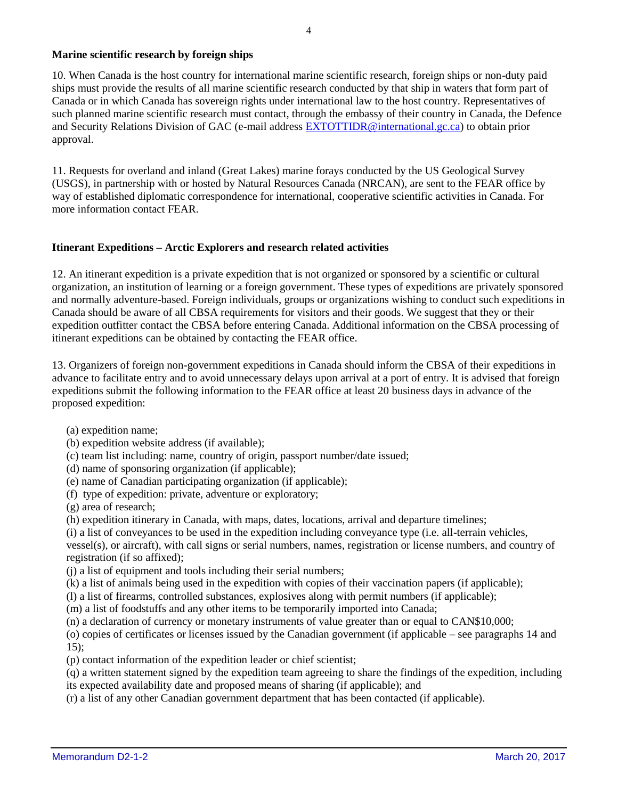#### **Marine scientific research by foreign ships**

10. When Canada is the host country for international marine scientific research, foreign ships or non-duty paid ships must provide the results of all marine scientific research conducted by that ship in waters that form part of Canada or in which Canada has sovereign rights under international law to the host country. Representatives of such planned marine scientific research must contact, through the embassy of their country in Canada, the Defence and Security Relations Division of GAC (e-mail address [EXTOTTIDR@international.gc.ca\)](mailto:EXTOTTIDR@international.gc.ca) to obtain prior approval.

11. Requests for overland and inland (Great Lakes) marine forays conducted by the US Geological Survey (USGS), in partnership with or hosted by Natural Resources Canada (NRCAN), are sent to the FEAR office by way of established diplomatic correspondence for international, cooperative scientific activities in Canada. For more information contact FEAR.

#### **Itinerant Expeditions – Arctic Explorers and research related activities**

12. An itinerant expedition is a private expedition that is not organized or sponsored by a scientific or cultural organization, an institution of learning or a foreign government. These types of expeditions are privately sponsored and normally adventure-based. Foreign individuals, groups or organizations wishing to conduct such expeditions in Canada should be aware of all CBSA requirements for visitors and their goods. We suggest that they or their expedition outfitter contact the CBSA before entering Canada. Additional information on the CBSA processing of itinerant expeditions can be obtained by contacting the FEAR office.

13. Organizers of foreign non-government expeditions in Canada should inform the CBSA of their expeditions in advance to facilitate entry and to avoid unnecessary delays upon arrival at a port of entry. It is advised that foreign expeditions submit the following information to the FEAR office at least 20 business days in advance of the proposed expedition:

(a) expedition name;

- (b) expedition website address (if available);
- (c) team list including: name, country of origin, passport number/date issued;
- (d) name of sponsoring organization (if applicable);
- (e) name of Canadian participating organization (if applicable);
- (f) type of expedition: private, adventure or exploratory;
- (g) area of research;
- (h) expedition itinerary in Canada, with maps, dates, locations, arrival and departure timelines;
- (i) a list of conveyances to be used in the expedition including conveyance type (i.e. all-terrain vehicles,

vessel(s), or aircraft), with call signs or serial numbers, names, registration or license numbers, and country of registration (if so affixed);

- (j) a list of equipment and tools including their serial numbers;
- (k) a list of animals being used in the expedition with copies of their vaccination papers (if applicable);
- (l) a list of firearms, controlled substances, explosives along with permit numbers (if applicable);
- (m) a list of foodstuffs and any other items to be temporarily imported into Canada;
- (n) a declaration of currency or monetary instruments of value greater than or equal to CAN\$10,000;

(o) copies of certificates or licenses issued by the Canadian government (if applicable – see paragraphs 14 and  $15$ :

(p) contact information of the expedition leader or chief scientist;

(q) a written statement signed by the expedition team agreeing to share the findings of the expedition, including its expected availability date and proposed means of sharing (if applicable); and

(r) a list of any other Canadian government department that has been contacted (if applicable).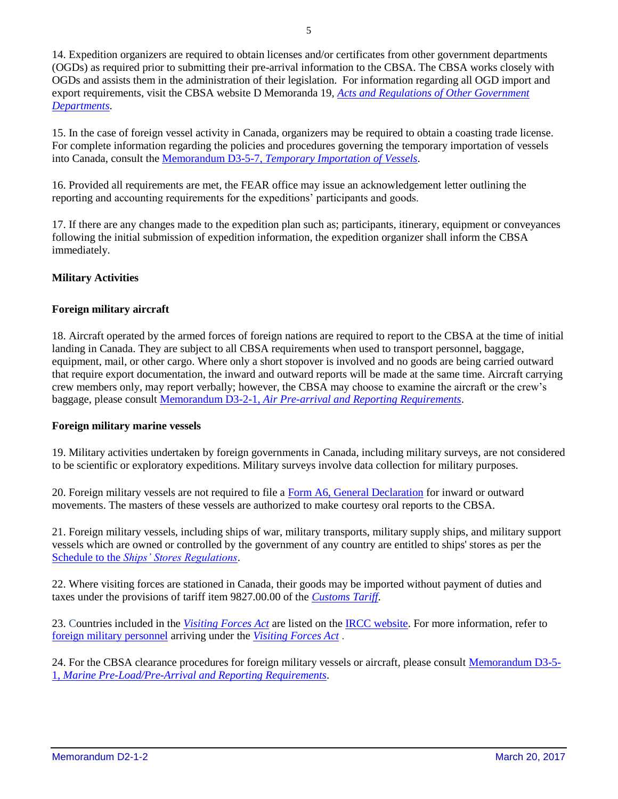14. Expedition organizers are required to obtain licenses and/or certificates from other government departments (OGDs) as required prior to submitting their pre-arrival information to the CBSA. The CBSA works closely with OGDs and assists them in the administration of their legislation. For information regarding all OGD import and export requirements, visit the CBSA website D Memoranda 19, *[Acts and Regulations of Other Government](http://www.cbsa-asfc.gc.ca/publications/dm-md/d19-eng.html)  [Departments](http://www.cbsa-asfc.gc.ca/publications/dm-md/d19-eng.html)*.

15. In the case of foreign vessel activity in Canada, organizers may be required to obtain a coasting trade license. For complete information regarding the policies and procedures governing the temporary importation of vessels into Canada, consult the Memorandum D3-5-7, *[Temporary Importation of Vessels](http://www.cbsa-asfc.gc.ca/publications/dm-md/d3/d3-5-7-eng.html)*.

16. Provided all requirements are met, the FEAR office may issue an acknowledgement letter outlining the reporting and accounting requirements for the expeditions' participants and goods.

17. If there are any changes made to the expedition plan such as; participants, itinerary, equipment or conveyances following the initial submission of expedition information, the expedition organizer shall inform the CBSA immediately.

#### **Military Activities**

#### **Foreign military aircraft**

18. Aircraft operated by the armed forces of foreign nations are required to report to the CBSA at the time of initial landing in Canada. They are subject to all CBSA requirements when used to transport personnel, baggage, equipment, mail, or other cargo. Where only a short stopover is involved and no goods are being carried outward that require export documentation, the inward and outward reports will be made at the same time. Aircraft carrying crew members only, may report verbally; however, the CBSA may choose to examine the aircraft or the crew's baggage, please consult Memorandum D3-2-1, *[Air Pre-arrival and Reporting Requirements](http://www.cbsa-asfc.gc.ca/publications/dm-md/d3/d3-2-1-eng.html)*.

#### **Foreign military marine vessels**

19. Military activities undertaken by foreign governments in Canada, including military surveys, are not considered to be scientific or exploratory expeditions. Military surveys involve data collection for military purposes.

20. Foreign military vessels are not required to file a [Form A6, General Declaration](http://www.cbsa-asfc.gc.ca/publications/forms-formulaires/a6-eng.html) for inward or outward movements. The masters of these vessels are authorized to make courtesy oral reports to the CBSA.

21. Foreign military vessels, including ships of war, military transports, military supply ships, and military support vessels which are owned or controlled by the government of any country are entitled to ships' stores as per the Schedule to the *[Ships' Stores Regulations](http://laws-lois.justice.gc.ca/eng/regulations/sor-96-40/page-2.html)*.

22. Where visiting forces are stationed in Canada, their goods may be imported without payment of duties and taxes under the provisions of tariff item 9827.00.00 of the *[Customs Tariff](http://www.cbsa-asfc.gc.ca/trade-commerce/tariff-tarif/menu-eng.html)*.

23. Countries included in the *[Visiting Forces Act](http://laws-lois.justice.gc.ca/eng/acts/V-2/)* are listed on the [IRCC website.](http://www.cic.gc.ca/english/resources/tools/temp/visa/countries.asp) For more information, refer to [foreign military personnel](http://www.cic.gc.ca/english/resources/tools/temp/work/permit/military/index.asp) arriving under the *[Visiting Forces Act](http://laws-lois.justice.gc.ca/eng/acts/V-2/)* .

24. For the CBSA clearance procedures for foreign military vessels or aircraft, please consult [Memorandum D3-5-](http://www.cbsa-asfc.gc.ca/publications/dm-md/d3/d3-5-1-eng.html) 1, *[Marine Pre-Load/Pre-Arrival and Reporting Requirements](http://www.cbsa-asfc.gc.ca/publications/dm-md/d3/d3-5-1-eng.html)*.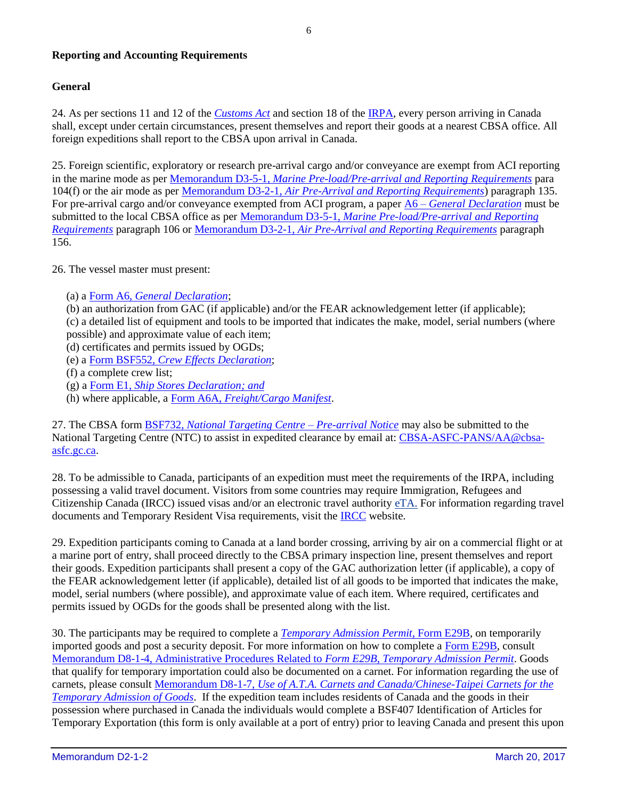#### **Reporting and Accounting Requirements**

#### **General**

24. As per sections 11 and 12 of the *[Customs Act](http://laws-lois.justice.gc.ca/eng/acts/c-52.6/)* and section 18 of th[e IRPA,](http://laws.justice.gc.ca/eng/acts/i-2.5/) every person arriving in Canada shall, except under certain circumstances, present themselves and report their goods at a nearest CBSA office. All foreign expeditions shall report to the CBSA upon arrival in Canada.

25. Foreign scientific, exploratory or research pre-arrival cargo and/or conveyance are exempt from ACI reporting in the marine mode as per Memorandum D3-5-1, *[Marine Pre-load/Pre-arrival and Reporting Requirements](http://www.cbsa-asfc.gc.ca/publications/dm-md/d3/d3-5-1-eng.html)* para 104(f) or the air mode as per Memorandum D3-2-1, *[Air Pre-Arrival and Reporting Requirements](http://www.cbsa-asfc.gc.ca/publications/dm-md/d3/d3-2-1-eng.html)*) paragraph 135. For pre-arrival cargo and/or conveyance exempted from ACI program, a paper A6 – *[General Declaration](http://www.cbsa-asfc.gc.ca/publications/forms-formulaires/a6-eng.html)* must be submitted to the local CBSA office as per Memorandum D3-5-1, *[Marine Pre-load/Pre-arrival and Reporting](http://www.cbsa-asfc.gc.ca/publications/dm-md/d3/d3-5-1-eng.html)  [Requirements](http://www.cbsa-asfc.gc.ca/publications/dm-md/d3/d3-5-1-eng.html)* paragraph 106 or Memorandum D3-2-1, *[Air Pre-Arrival and Reporting Requirements](http://www.cbsa-asfc.gc.ca/publications/dm-md/d3/d3-2-1-eng.html)* paragraph 156.

26. The vessel master must present:

- (a) a Form A6, *[General Declaration](http://www.cbsa-asfc.gc.ca/publications/forms-formulaires/a6-eng.html)*;
- (b) an authorization from GAC (if applicable) and/or the FEAR acknowledgement letter (if applicable);

(c) a detailed list of equipment and tools to be imported that indicates the make, model, serial numbers (where possible) and approximate value of each item;

- (d) certificates and permits issued by OGDs;
- (e) a Form BSF552, *[Crew Effects Declaration](http://www.cbsa-asfc.gc.ca/publications/forms-formulaires/bsf552-eng.html)*;
- (f) a complete crew list;
- (g) a Form E1, *[Ship Stores Declaration;](http://www.cbsa-asfc.gc.ca/publications/forms-formulaires/e1-eng.html) and*
- (h) where applicable, a Form A6A, *[Freight/Cargo Manifest](http://www.cbsa.gc.ca/publications/forms-formulaires/a6-eng.html)*.

27. The CBSA form BSF732, *[National Targeting Centre –](http://www.cbsa.gc.ca/publications/forms-formulaires/bsf732-eng.html) Pre-arrival Notice* may also be submitted to the National Targeting Centre (NTC) to assist in expedited clearance by email at: [CBSA-ASFC-PANS/AA@cbsa](mailto:cbsa-asfc-pans/aa@cbsa-asfc.gc.ca)[asfc.gc.ca.](mailto:cbsa-asfc-pans/aa@cbsa-asfc.gc.ca)

28. To be admissible to Canada, participants of an expedition must meet the requirements of the IRPA, including possessing a valid travel document. Visitors from some countries may require Immigration, Refugees and Citizenship Canada (IRCC) issued visas and/or an electronic travel authority [eTA.](http://www.cic.gc.ca/english/resources/tools/temp/eta/) For information regarding travel documents and Temporary Resident Visa requirements, visit the [IRCC](http://www.cic.gc.ca/english/index.asp) website.

29. Expedition participants coming to Canada at a land border crossing, arriving by air on a commercial flight or at a marine port of entry, shall proceed directly to the CBSA primary inspection line, present themselves and report their goods. Expedition participants shall present a copy of the GAC authorization letter (if applicable), a copy of the FEAR acknowledgement letter (if applicable), detailed list of all goods to be imported that indicates the make, model, serial numbers (where possible), and approximate value of each item. Where required, certificates and permits issued by OGDs for the goods shall be presented along with the list.

30. The participants may be required to complete a *[Temporary Admission Permit](http://cbsa.gc.ca/publications/forms-formulaires/e29b-eng.html)*, Form E29B, on temporarily imported goods and post a security deposit. For more information on how to complete a Form [E29B,](http://cbsa.gc.ca/publications/forms-formulaires/e29b-eng.html) consult [Memorandum D8-1-4, Administrative Procedures Related to](http://www.cbsa-asfc.gc.ca/publications/dm-md/d8/d8-1-4-eng.html) *Form E29B*, *Temporary Admission Permit*. Goods that qualify for temporary importation could also be documented on a carnet. For information regarding the use of carnets, please consult Memorandum D8-1-7, *[Use of A.T.A. Carnets and Canada/Chinese-Taipei Carnets for the](http://www.cbsa-asfc.gc.ca/publications/dm-md/d8/d8-1-7-eng.html)  [Temporary Admission of Goods](http://www.cbsa-asfc.gc.ca/publications/dm-md/d8/d8-1-7-eng.html)*. If the expedition team includes residents of Canada and the goods in their possession where purchased in Canada the individuals would complete a BSF407 Identification of Articles for Temporary Exportation (this form is only available at a port of entry) prior to leaving Canada and present this upon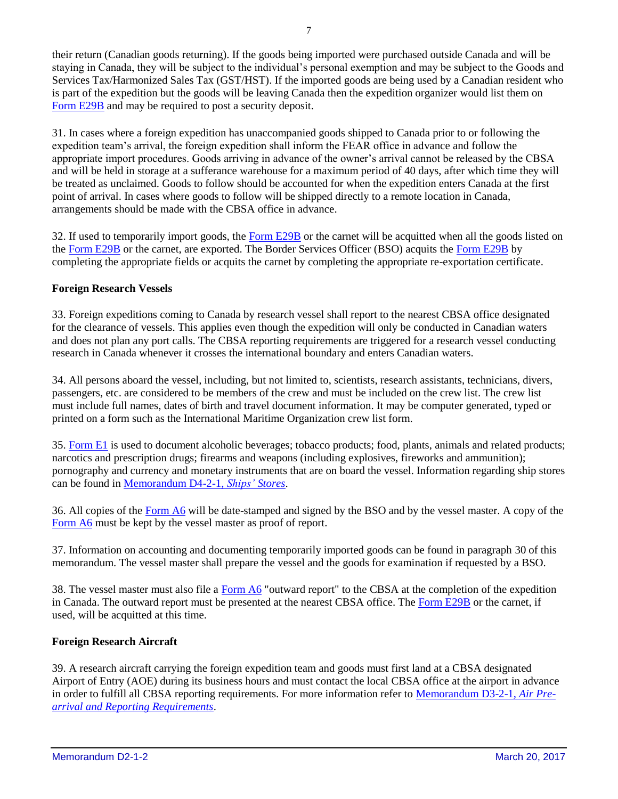their return (Canadian goods returning). If the goods being imported were purchased outside Canada and will be staying in Canada, they will be subject to the individual's personal exemption and may be subject to the Goods and Services Tax/Harmonized Sales Tax (GST/HST). If the imported goods are being used by a Canadian resident who is part of the expedition but the goods will be leaving Canada then the expedition organizer would list them on [Form E29B](http://cbsa.gc.ca/publications/forms-formulaires/e29b-eng.html) and may be required to post a security deposit.

31. In cases where a foreign expedition has unaccompanied goods shipped to Canada prior to or following the expedition team's arrival, the foreign expedition shall inform the FEAR office in advance and follow the appropriate import procedures. Goods arriving in advance of the owner's arrival cannot be released by the CBSA and will be held in storage at a sufferance warehouse for a maximum period of 40 days, after which time they will be treated as unclaimed. Goods to follow should be accounted for when the expedition enters Canada at the first point of arrival. In cases where goods to follow will be shipped directly to a remote location in Canada, arrangements should be made with the CBSA office in advance.

32. If used to temporarily import goods, the [Form](http://cbsa.gc.ca/publications/forms-formulaires/e29b-eng.html) E29B or the carnet will be acquitted when all the goods listed on the [Form E29B](http://cbsa.gc.ca/publications/forms-formulaires/e29b-eng.html) or the carnet, are exported. The Border Services Officer (BSO) acquits the [Form](http://cbsa.gc.ca/publications/forms-formulaires/e29b-eng.html) E29B by completing the appropriate fields or acquits the carnet by completing the appropriate re-exportation certificate.

#### **Foreign Research Vessels**

33. Foreign expeditions coming to Canada by research vessel shall report to the nearest CBSA office designated for the clearance of vessels. This applies even though the expedition will only be conducted in Canadian waters and does not plan any port calls. The CBSA reporting requirements are triggered for a research vessel conducting research in Canada whenever it crosses the international boundary and enters Canadian waters.

34. All persons aboard the vessel, including, but not limited to, scientists, research assistants, technicians, divers, passengers, etc. are considered to be members of the crew and must be included on the crew list. The crew list must include full names, dates of birth and travel document information. It may be computer generated, typed or printed on a form such as the International Maritime Organization crew list form.

35. [Form E1](http://www.cbsa-asfc.gc.ca/publications/forms-formulaires/e1-eng.html) is used to document alcoholic beverages; tobacco products; food, plants, animals and related products; narcotics and prescription drugs; firearms and weapons (including explosives, fireworks and ammunition); pornography and currency and monetary instruments that are on board the vessel. Information regarding ship stores can be found in [Memorandum D4-2-1,](http://www.cbsa-asfc.gc.ca/publications/dm-md/d4/d4-2-1-eng.html) *Ships' Stores*.

36. All copies of the [Form](http://www.cbsa-asfc.gc.ca/publications/forms-formulaires/a6-eng.html) A6 will be date-stamped and signed by the BSO and by the vessel master. A copy of the [Form](http://www.cbsa-asfc.gc.ca/publications/forms-formulaires/a6-eng.html) A6 must be kept by the vessel master as proof of report.

37. Information on accounting and documenting temporarily imported goods can be found in paragraph 30 of this memorandum. The vessel master shall prepare the vessel and the goods for examination if requested by a BSO.

38. The vessel master must also file a [Form](http://www.cbsa-asfc.gc.ca/publications/forms-formulaires/a6-eng.html) A6 "outward report" to the CBSA at the completion of the expedition in Canada. The outward report must be presented at the nearest CBSA office. The [Form](http://cbsa.gc.ca/publications/forms-formulaires/e29b-eng.html) E29B or the carnet, if used, will be acquitted at this time.

#### **Foreign Research Aircraft**

39. A research aircraft carrying the foreign expedition team and goods must first land at a CBSA designated Airport of Entry (AOE) during its business hours and must contact the local CBSA office at the airport in advance in order to fulfill all CBSA reporting requirements. For more information refer to [Memorandum D3-2-1](http://www.cbsa-asfc.gc.ca/publications/dm-md/d3/d3-2-1-eng.html)*, Air Pre[arrival and Reporting Requirements](http://www.cbsa-asfc.gc.ca/publications/dm-md/d3/d3-2-1-eng.html)*.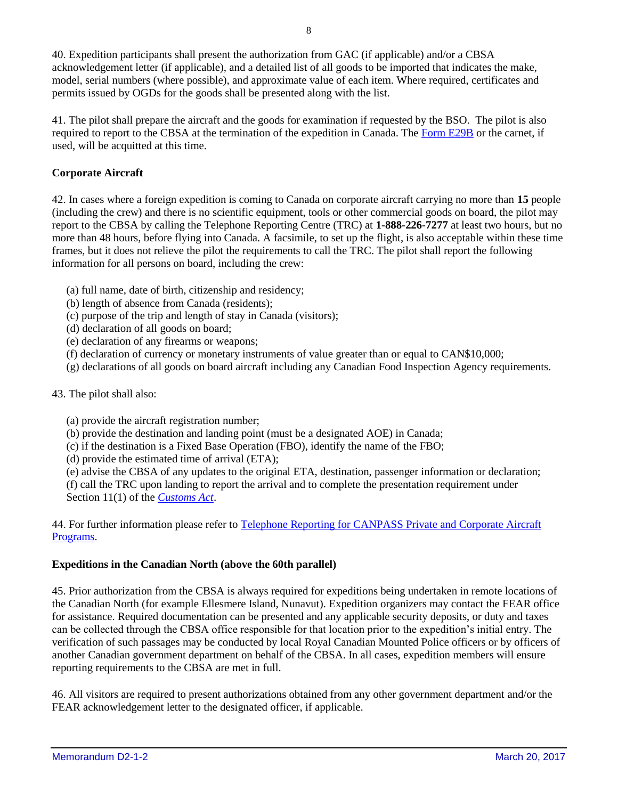40. Expedition participants shall present the authorization from GAC (if applicable) and/or a CBSA acknowledgement letter (if applicable), and a detailed list of all goods to be imported that indicates the make, model, serial numbers (where possible), and approximate value of each item. Where required, certificates and permits issued by OGDs for the goods shall be presented along with the list.

41. The pilot shall prepare the aircraft and the goods for examination if requested by the BSO. The pilot is also required to report to the CBSA at the termination of the expedition in Canada. The [Form](http://cbsa.gc.ca/publications/forms-formulaires/e29b-eng.html) E29B or the carnet, if used, will be acquitted at this time.

#### **Corporate Aircraft**

42. In cases where a foreign expedition is coming to Canada on corporate aircraft carrying no more than **15** people (including the crew) and there is no scientific equipment, tools or other commercial goods on board, the pilot may report to the CBSA by calling the Telephone Reporting Centre (TRC) at **1-888-226-7277** at least two hours, but no more than 48 hours, before flying into Canada. A facsimile, to set up the flight, is also acceptable within these time frames, but it does not relieve the pilot the requirements to call the TRC. The pilot shall report the following information for all persons on board, including the crew:

- (a) full name, date of birth, citizenship and residency;
- (b) length of absence from Canada (residents);
- (c) purpose of the trip and length of stay in Canada (visitors);
- (d) declaration of all goods on board;
- (e) declaration of any firearms or weapons;
- (f) declaration of currency or monetary instruments of value greater than or equal to CAN\$10,000;
- (g) declarations of all goods on board aircraft including any Canadian Food Inspection Agency requirements.
- 43. The pilot shall also:
	- (a) provide the aircraft registration number;
	- (b) provide the destination and landing point (must be a designated AOE) in Canada;
	- (c) if the destination is a Fixed Base Operation (FBO), identify the name of the FBO;
	- (d) provide the estimated time of arrival (ETA);

(e) advise the CBSA of any updates to the original ETA, destination, passenger information or declaration; (f) call the TRC upon landing to report the arrival and to complete the presentation requirement under Section 11(1) of the *[Customs Act](http://laws-lois.justice.gc.ca/eng/acts/c-52.6/)*.

44. For further information please refer to [Telephone Reporting for CANPASS Private and Corporate Aircraft](http://www.cbsa-asfc.gc.ca/prog/canpass/airprogram-eng.html)  [Programs.](http://www.cbsa-asfc.gc.ca/prog/canpass/airprogram-eng.html)

#### **Expeditions in the Canadian North (above the 60th parallel)**

45. Prior authorization from the CBSA is always required for expeditions being undertaken in remote locations of the Canadian North (for example Ellesmere Island, Nunavut). Expedition organizers may contact the FEAR office for assistance. Required documentation can be presented and any applicable security deposits, or duty and taxes can be collected through the CBSA office responsible for that location prior to the expedition's initial entry. The verification of such passages may be conducted by local Royal Canadian Mounted Police officers or by officers of another Canadian government department on behalf of the CBSA. In all cases, expedition members will ensure reporting requirements to the CBSA are met in full.

46. All visitors are required to present authorizations obtained from any other government department and/or the FEAR acknowledgement letter to the designated officer, if applicable.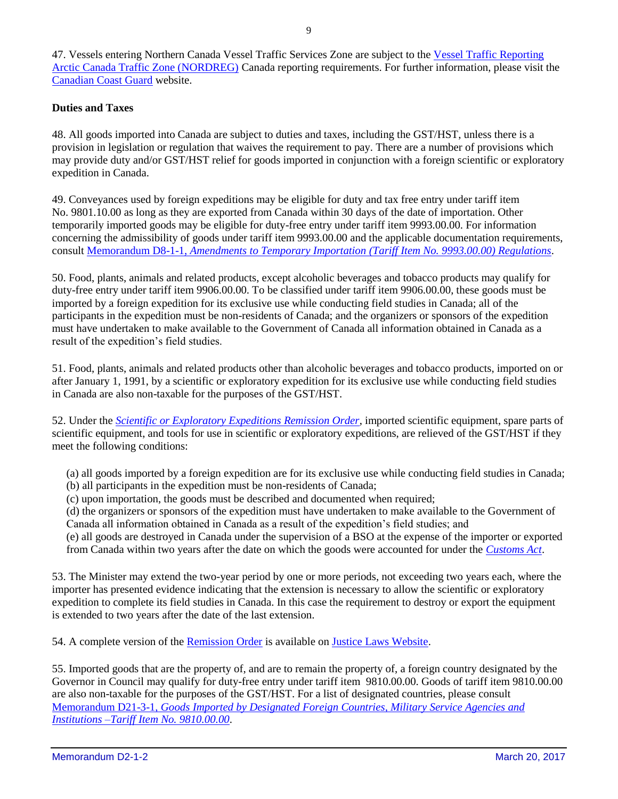47. Vessels entering Northern Canada Vessel Traffic Services Zone are subject to the Vessel Traffic Reporting [Arctic Canada Traffic Zone \(NORDREG\)](http://www.ccg-gcc.gc.ca/eng/MCTS/Vtr_Arctic_Canada) Canada reporting requirements. For further information, please visit the [Canadian Coast Guard](http://www.ccg-gcc.gc.ca/eng/CCG/Home) website.

#### **Duties and Taxes**

48. All goods imported into Canada are subject to duties and taxes, including the GST/HST, unless there is a provision in legislation or regulation that waives the requirement to pay. There are a number of provisions which may provide duty and/or GST/HST relief for goods imported in conjunction with a foreign scientific or exploratory expedition in Canada.

49. Conveyances used by foreign expeditions may be eligible for duty and tax free entry under tariff item No. 9801.10.00 as long as they are exported from Canada within 30 days of the date of importation. Other temporarily imported goods may be eligible for duty-free entry under tariff item 9993.00.00. For information concerning the admissibility of goods under tariff item 9993.00.00 and the applicable documentation requirements, consult Memorandum D8-1-1, *Amendments to Temporary Importation [\(Tariff Item No. 9993.00.00\) Regulations](http://www.cbsa-asfc.gc.ca/publications/dm-md/d8/d8-1-1-eng.html)*.

50. Food, plants, animals and related products, except alcoholic beverages and tobacco products may qualify for duty-free entry under tariff item 9906.00.00. To be classified under tariff item 9906.00.00, these goods must be imported by a foreign expedition for its exclusive use while conducting field studies in Canada; all of the participants in the expedition must be non-residents of Canada; and the organizers or sponsors of the expedition must have undertaken to make available to the Government of Canada all information obtained in Canada as a result of the expedition's field studies.

51. Food, plants, animals and related products other than alcoholic beverages and tobacco products, imported on or after January 1, 1991, by a scientific or exploratory expedition for its exclusive use while conducting field studies in Canada are also non-taxable for the purposes of the GST/HST.

52. Under the *[Scientific or Exploratory Expeditions Remission Order](http://laws-lois.justice.gc.ca/eng/regulations/SOR-95-82/page-1.html)*, imported scientific equipment, spare parts of scientific equipment, and tools for use in scientific or exploratory expeditions, are relieved of the GST/HST if they meet the following conditions:

(a) all goods imported by a foreign expedition are for its exclusive use while conducting field studies in Canada; (b) all participants in the expedition must be non-residents of Canada;

(c) upon importation, the goods must be described and documented when required;

(d) the organizers or sponsors of the expedition must have undertaken to make available to the Government of Canada all information obtained in Canada as a result of the expedition's field studies; and

(e) all goods are destroyed in Canada under the supervision of a BSO at the expense of the importer or exported from Canada within two years after the date on which the goods were accounted for under the *[Customs Act](http://laws-lois.justice.gc.ca/eng/acts/c-52.6/)*.

53. The Minister may extend the two-year period by one or more periods, not exceeding two years each, where the importer has presented evidence indicating that the extension is necessary to allow the scientific or exploratory expedition to complete its field studies in Canada. In this case the requirement to destroy or export the equipment is extended to two years after the date of the last extension.

54. A complete version of the [Remission Order](http://laws-lois.justice.gc.ca/eng/regulations/SOR-95-82/FullText.html) is available on [Justice Laws Website.](http://www.laws.justice.gc.ca/eng/)

55. Imported goods that are the property of, and are to remain the property of, a foreign country designated by the Governor in Council may qualify for duty-free entry under tariff item 9810.00.00. Goods of tariff item 9810.00.00 are also non-taxable for the purposes of the GST/HST. For a list of designated countries, please consult Memorandum D21-3-1, *[Goods Imported by Designated Foreign Countries, Military Service Agencies and](http://www.cbsa-asfc.gc.ca/publications/dm-md/d21/d21-3-1-eng.html)  [Institutions –Tariff Item No.](http://www.cbsa-asfc.gc.ca/publications/dm-md/d21/d21-3-1-eng.html) 9810.00.00*.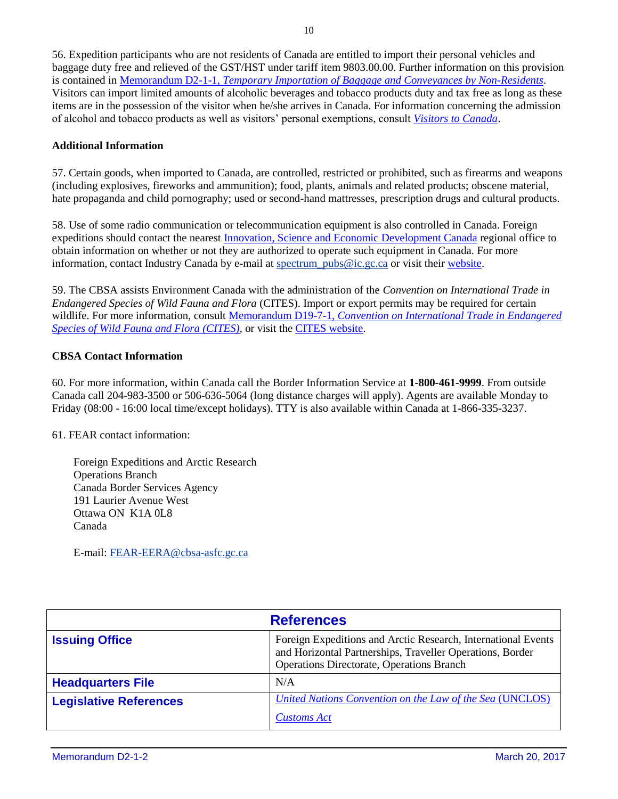56. Expedition participants who are not residents of Canada are entitled to import their personal vehicles and baggage duty free and relieved of the GST/HST under tariff item 9803.00.00. Further information on this provision is contained in Memorandum D2-1-1, *[Temporary Importation of Baggage and Conveyances by Non-Residents](http://www.cbsa-asfc.gc.ca/publications/dm-md/d2/d2-1-1-eng.html)*. Visitors can import limited amounts of alcoholic beverages and tobacco products duty and tax free as long as these items are in the possession of the visitor when he/she arrives in Canada. For information concerning the admission of alcohol and tobacco products as well as visitors' personal exemptions, consult *[Visitors to Canada](http://www.cbsa-asfc.gc.ca/travel-voyage/ivc-rnc-eng.html)*.

#### **Additional Information**

57. Certain goods, when imported to Canada, are controlled, restricted or prohibited, such as firearms and weapons (including explosives, fireworks and ammunition); food, plants, animals and related products; obscene material, hate propaganda and child pornography; used or second-hand mattresses, prescription drugs and cultural products.

58. Use of some radio communication or telecommunication equipment is also controlled in Canada. Foreign expeditions should contact the nearest [Innovation, Science and Economic Development Canada](http://www.ic.gc.ca/eic/site/icgc.nsf/eng/home) regional office to obtain information on whether or not they are authorized to operate such equipment in Canada. For more information, contact Industry Canada by e-mail at spectrum pubs@ic.gc.ca or visit their [website.](http://www.ic.gc.ca/eic/site/smt-gst.nsf/eng/home?OpenDocument)

59. The CBSA assists Environment Canada with the administration of the *Convention on International Trade in Endangered Species of Wild Fauna and Flora* (CITES). Import or export permits may be required for certain wildlife. For more information, consult Memorandum D19-7-1, *[Convention on International Trade in Endangered](http://www.cbsa-asfc.gc.ca/publications/dm-md/d19/d19-7-1-eng.html)  [Species of Wild Fauna and Flora \(CITES\)](http://www.cbsa-asfc.gc.ca/publications/dm-md/d19/d19-7-1-eng.html)*, or visit th[e CITES website.](https://www.cites.org/eng)

#### **CBSA Contact Information**

60. For more information, within Canada call the Border Information Service at **1-800-461-9999**. From outside Canada call 204-983-3500 or 506-636-5064 (long distance charges will apply). Agents are available Monday to Friday (08:00 - 16:00 local time/except holidays). TTY is also available within Canada at 1-866-335-3237.

61. FEAR contact information:

Foreign Expeditions and Arctic Research Operations Branch Canada Border Services Agency 191 Laurier Avenue West Ottawa ON K1A 0L8 Canada

E-mail[: FEAR-EERA@cbsa-asfc.gc.ca](mailto:FEAR-EERA@cbsa-asfc.gc.ca)

| <b>References</b>             |                                                                                                                                                                                |
|-------------------------------|--------------------------------------------------------------------------------------------------------------------------------------------------------------------------------|
| <b>Issuing Office</b>         | Foreign Expeditions and Arctic Research, International Events<br>and Horizontal Partnerships, Traveller Operations, Border<br><b>Operations Directorate, Operations Branch</b> |
| <b>Headquarters File</b>      | N/A                                                                                                                                                                            |
| <b>Legislative References</b> | United Nations Convention on the Law of the Sea (UNCLOS)<br><b>Customs Act</b>                                                                                                 |